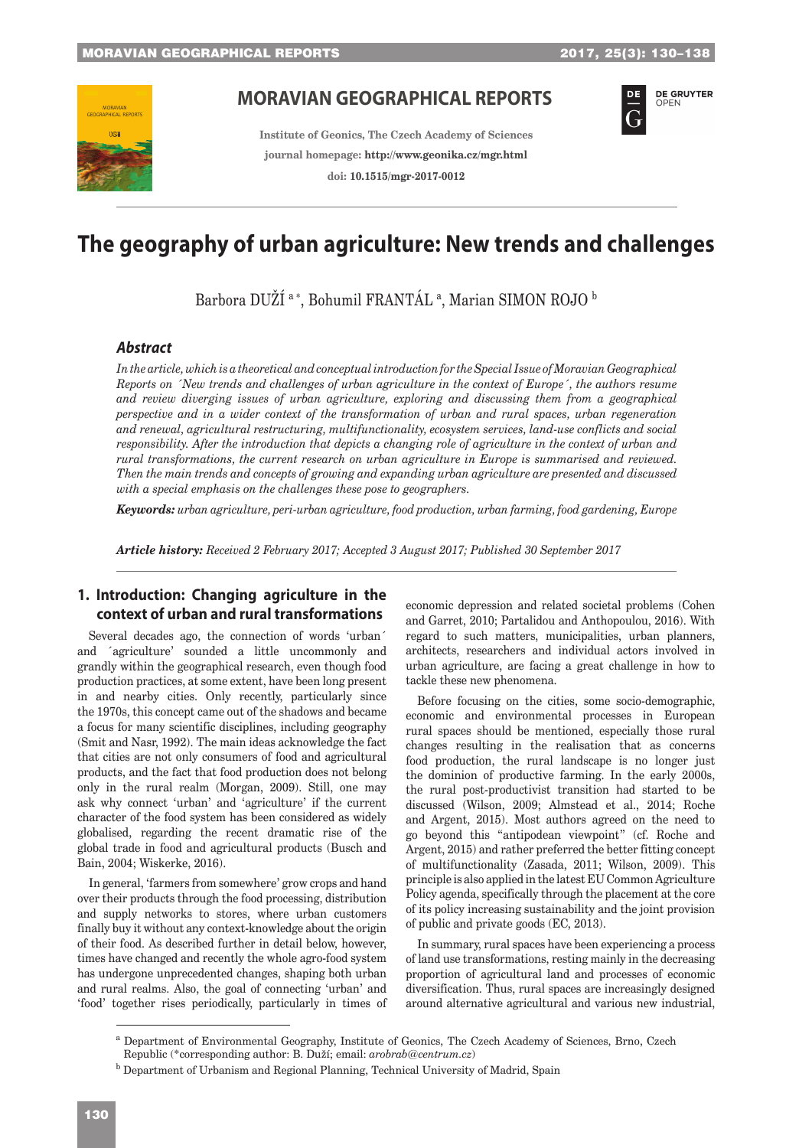

## MORAVIAN **MORAVIAN GEOGRAPHICAL REPORTS**

**Institute of Geonics, The Czech Academy of Sciences journal homepage:<http://www.geonika.cz/mgr.html> doi: 10.1515/mgr-2017-0012**



# **The geography of urban agriculture: New trends and challenges**

Barbora DUŽÍ <sup>a</sup>\*, Bohumil FRANTÁL <sup>a</sup>, Marian SIMON ROJO <sup>b</sup>

#### *Abstract*

*In the article, which is a theoretical and conceptual introduction for the Special Issue of Moravian Geographical Reports on ´New trends and challenges of urban agriculture in the context of Europe´, the authors resume and review diverging issues of urban agriculture, exploring and discussing them from a geographical perspective and in a wider context of the transformation of urban and rural spaces, urban regeneration and renewal, agricultural restructuring, multifunctionality, ecosystem services, land-use conflicts and social responsibility. After the introduction that depicts a changing role of agriculture in the context of urban and rural transformations, the current research on urban agriculture in Europe is summarised and reviewed. Then the main trends and concepts of growing and expanding urban agriculture are presented and discussed with a special emphasis on the challenges these pose to geographers.*

*Keywords: urban agriculture, peri-urban agriculture, food production, urban farming, food gardening, Europe*

*Article history: Received 2 February 2017; Accepted 3 August 2017; Published 30 September 2017*

### **1. Introduction: Changing agriculture in the context of urban and rural transformations**

Several decades ago, the connection of words 'urban´ and ´agriculture' sounded a little uncommonly and grandly within the geographical research, even though food production practices, at some extent, have been long present in and nearby cities. Only recently, particularly since the 1970s, this concept came out of the shadows and became a focus for many scientific disciplines, including geography (Smit and Nasr, 1992). The main ideas acknowledge the fact that cities are not only consumers of food and agricultural products, and the fact that food production does not belong only in the rural realm (Morgan, 2009). Still, one may ask why connect 'urban' and 'agriculture' if the current character of the food system has been considered as widely globalised, regarding the recent dramatic rise of the global trade in food and agricultural products (Busch and Bain, 2004; Wiskerke, 2016).

In general, 'farmers from somewhere' grow crops and hand over their products through the food processing, distribution and supply networks to stores, where urban customers finally buy it without any context-knowledge about the origin of their food. As described further in detail below, however, times have changed and recently the whole agro-food system has undergone unprecedented changes, shaping both urban and rural realms. Also, the goal of connecting 'urban' and 'food' together rises periodically, particularly in times of economic depression and related societal problems (Cohen and Garret, 2010; Partalidou and Anthopoulou, 2016). With regard to such matters, municipalities, urban planners, architects, researchers and individual actors involved in urban agriculture, are facing a great challenge in how to tackle these new phenomena.

Before focusing on the cities, some socio-demographic, economic and environmental processes in European rural spaces should be mentioned, especially those rural changes resulting in the realisation that as concerns food production, the rural landscape is no longer just the dominion of productive farming. In the early 2000s, the rural post-productivist transition had started to be discussed (Wilson, 2009; Almstead et al., 2014; Roche and Argent, 2015). Most authors agreed on the need to go beyond this "antipodean viewpoint" (cf. Roche and Argent, 2015) and rather preferred the better fitting concept of multifunctionality (Zasada, 2011; Wilson, 2009). This principle is also applied in the latest EU Common Agriculture Policy agenda, specifically through the placement at the core of its policy increasing sustainability and the joint provision of public and private goods (EC, 2013).

In summary, rural spaces have been experiencing a process of land use transformations, resting mainly in the decreasing proportion of agricultural land and processes of economic diversification. Thus, rural spaces are increasingly designed around alternative agricultural and various new industrial,

a Department of Environmental Geography, Institute of Geonics, The Czech Academy of Sciences, Brno, Czech

Republic (\*corresponding author: B. Duží; email: *arobrab@centrum.cz*)

<sup>&</sup>lt;sup>b</sup> Department of Urbanism and Regional Planning, Technical University of Madrid, Spain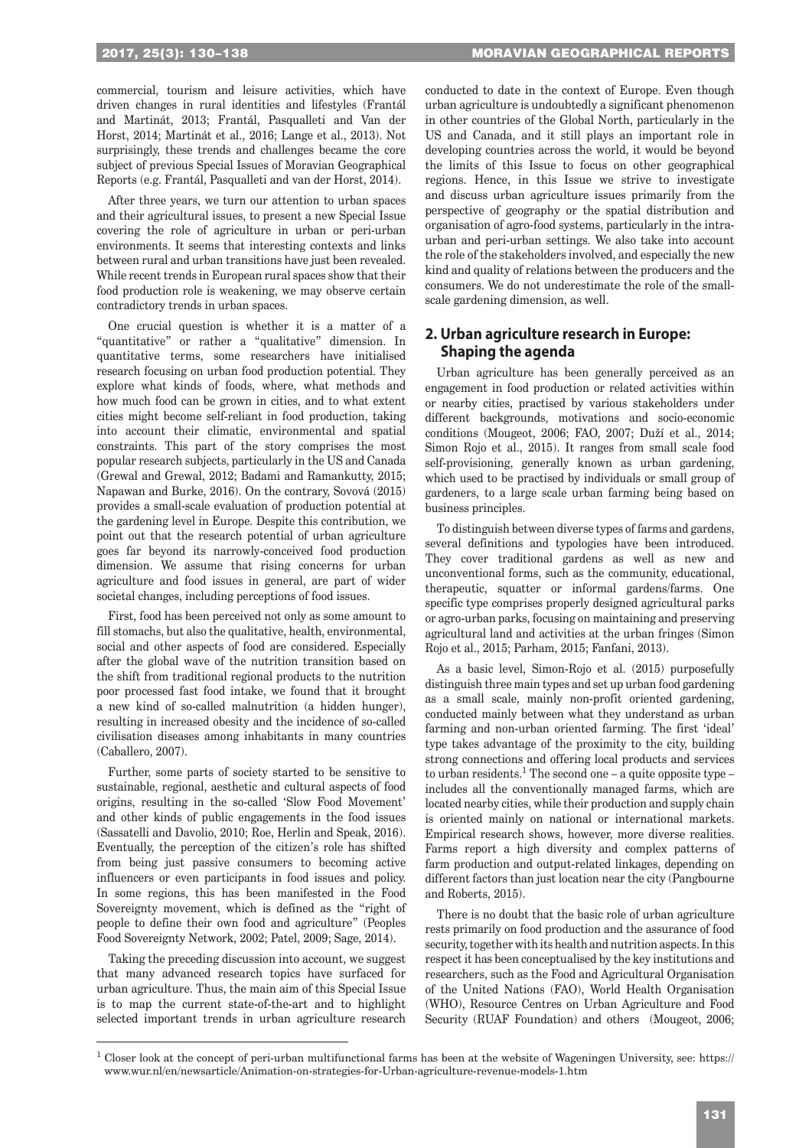commercial, tourism and leisure activities, which have driven changes in rural identities and lifestyles (Frantál and Martinát, 2013; Frantál, Pasqualleti and Van der Horst, 2014; Martinát et al., 2016; Lange et al., 2013). Not surprisingly, these trends and challenges became the core subject of previous Special Issues of Moravian Geographical Reports (e.g. Frantál, Pasqualleti and van der Horst, 2014).

After three years, we turn our attention to urban spaces and their agricultural issues, to present a new Special Issue covering the role of agriculture in urban or peri-urban environments. It seems that interesting contexts and links between rural and urban transitions have just been revealed. While recent trends in European rural spaces show that their food production role is weakening, we may observe certain contradictory trends in urban spaces.

One crucial question is whether it is a matter of a "quantitative" or rather a "qualitative" dimension. In quantitative terms, some researchers have initialised research focusing on urban food production potential. They explore what kinds of foods, where, what methods and how much food can be grown in cities, and to what extent cities might become self-reliant in food production, taking into account their climatic, environmental and spatial constraints. This part of the story comprises the most popular research subjects, particularly in the US and Canada (Grewal and Grewal, 2012; Badami and Ramankutty, 2015; Napawan and Burke, 2016). On the contrary, Sovová (2015) provides a small-scale evaluation of production potential at the gardening level in Europe. Despite this contribution, we point out that the research potential of urban agriculture goes far beyond its narrowly-conceived food production dimension. We assume that rising concerns for urban agriculture and food issues in general, are part of wider societal changes, including perceptions of food issues.

First, food has been perceived not only as some amount to fill stomachs, but also the qualitative, health, environmental, social and other aspects of food are considered. Especially after the global wave of the nutrition transition based on the shift from traditional regional products to the nutrition poor processed fast food intake, we found that it brought a new kind of so-called malnutrition (a hidden hunger), resulting in increased obesity and the incidence of so-called civilisation diseases among inhabitants in many countries (Caballero, 2007).

Further, some parts of society started to be sensitive to sustainable, regional, aesthetic and cultural aspects of food origins, resulting in the so-called 'Slow Food Movement' and other kinds of public engagements in the food issues (Sassatelli and Davolio, 2010; Roe, Herlin and Speak, 2016). Eventually, the perception of the citizen's role has shifted from being just passive consumers to becoming active influencers or even participants in food issues and policy. In some regions, this has been manifested in the Food Sovereignty movement, which is defined as the "right of people to define their own food and agriculture" (Peoples Food Sovereignty Network, 2002; Patel, 2009; Sage, 2014).

Taking the preceding discussion into account, we suggest that many advanced research topics have surfaced for urban agriculture. Thus, the main aim of this Special Issue is to map the current state-of-the-art and to highlight selected important trends in urban agriculture research conducted to date in the context of Europe. Even though urban agriculture is undoubtedly a significant phenomenon in other countries of the Global North, particularly in the US and Canada, and it still plays an important role in developing countries across the world, it would be beyond the limits of this Issue to focus on other geographical regions. Hence, in this Issue we strive to investigate and discuss urban agriculture issues primarily from the perspective of geography or the spatial distribution and organisation of agro-food systems, particularly in the intraurban and peri-urban settings. We also take into account the role of the stakeholders involved, and especially the new kind and quality of relations between the producers and the consumers. We do not underestimate the role of the smallscale gardening dimension, as well.

### **2. Urban agriculture research in Europe: Shaping the agenda**

Urban agriculture has been generally perceived as an engagement in food production or related activities within or nearby cities, practised by various stakeholders under different backgrounds, motivations and socio-economic conditions (Mougeot, 2006; FAO, 2007; Duží et al., 2014; Simon Rojo et al., 2015). It ranges from small scale food self-provisioning, generally known as urban gardening, which used to be practised by individuals or small group of gardeners, to a large scale urban farming being based on business principles.

To distinguish between diverse types of farms and gardens, several definitions and typologies have been introduced. They cover traditional gardens as well as new and unconventional forms, such as the community, educational, therapeutic, squatter or informal gardens/farms. One specific type comprises properly designed agricultural parks or agro-urban parks, focusing on maintaining and preserving agricultural land and activities at the urban fringes (Simon Rojo et al., 2015; Parham, 2015; Fanfani, 2013).

As a basic level, Simon-Rojo et al. (2015) purposefully distinguish three main types and set up urban food gardening as a small scale, mainly non-profit oriented gardening, conducted mainly between what they understand as urban farming and non-urban oriented farming. The first 'ideal' type takes advantage of the proximity to the city, building strong connections and offering local products and services to urban residents.<sup>1</sup> The second one  $-$  a quite opposite type  $$ includes all the conventionally managed farms, which are located nearby cities, while their production and supply chain is oriented mainly on national or international markets. Empirical research shows, however, more diverse realities. Farms report a high diversity and complex patterns of farm production and output-related linkages, depending on different factors than just location near the city (Pangbourne and Roberts, 2015).

There is no doubt that the basic role of urban agriculture rests primarily on food production and the assurance of food security, together with its health and nutrition aspects. In this respect it has been conceptualised by the key institutions and researchers, such as the Food and Agricultural Organisation of the United Nations (FAO), World Health Organisation (WHO), Resource Centres on Urban Agriculture and Food Security (RUAF Foundation) and others (Mougeot, 2006;

<sup>&</sup>lt;sup>1</sup> Closer look at the concept of peri-urban multifunctional farms has been at the website of Wageningen University, see: https:// www.wur.nl/en/newsarticle/Animation-on-strategies-for-Urban-agriculture-revenue-models-1.htm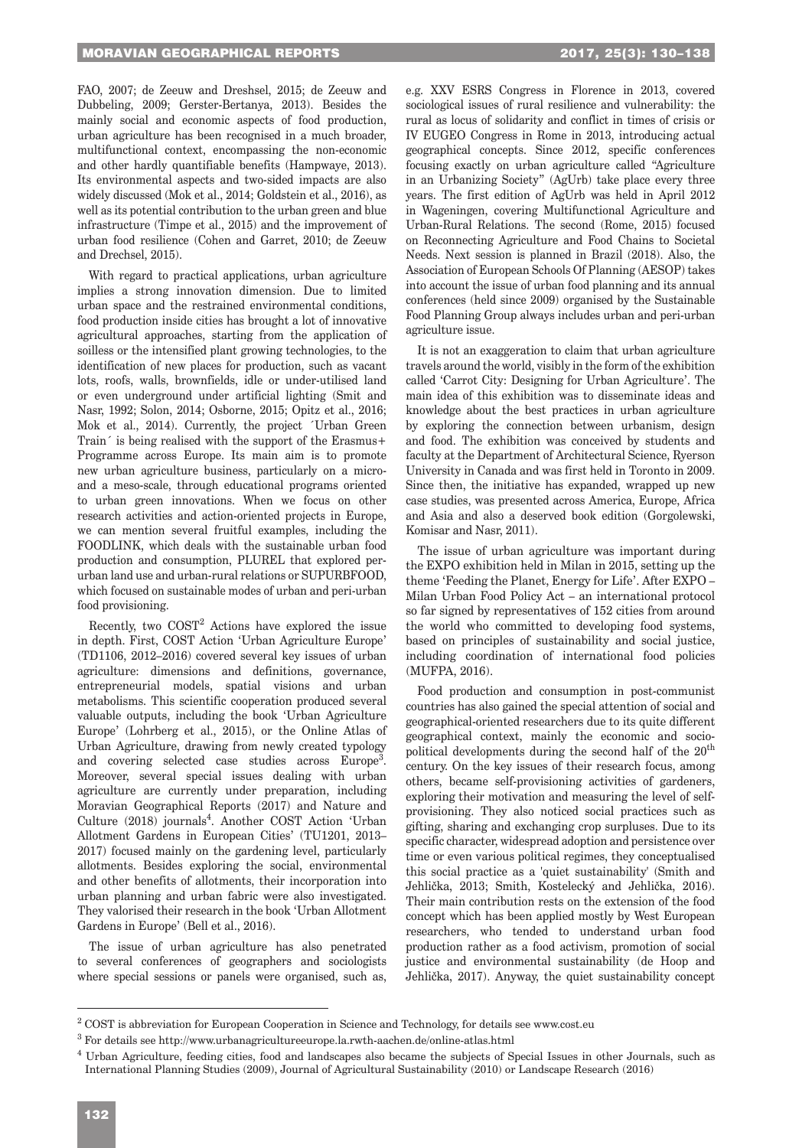FAO, 2007; de Zeeuw and Dreshsel, 2015; de Zeeuw and Dubbeling, 2009; Gerster-Bertanya, 2013). Besides the mainly social and economic aspects of food production, urban agriculture has been recognised in a much broader, multifunctional context, encompassing the non-economic and other hardly quantifiable benefits (Hampwaye, 2013). Its environmental aspects and two-sided impacts are also widely discussed (Mok et al., 2014; Goldstein et al., 2016), as well as its potential contribution to the urban green and blue infrastructure (Timpe et al., 2015) and the improvement of urban food resilience (Cohen and Garret, 2010; de Zeeuw and Drechsel, 2015).

With regard to practical applications, urban agriculture implies a strong innovation dimension. Due to limited urban space and the restrained environmental conditions, food production inside cities has brought a lot of innovative agricultural approaches, starting from the application of soilless or the intensified plant growing technologies, to the identification of new places for production, such as vacant lots, roofs, walls, brownfields, idle or under-utilised land or even underground under artificial lighting (Smit and Nasr, 1992; Solon, 2014; Osborne, 2015; Opitz et al., 2016; Mok et al., 2014). Currently, the project ´Urban Green Train´ is being realised with the support of the Erasmus+ Programme across Europe. Its main aim is to promote new urban agriculture business, particularly on a microand a meso-scale, through educational programs oriented to urban green innovations. When we focus on other research activities and action-oriented projects in Europe, we can mention several fruitful examples, including the FOODLINK, which deals with the sustainable urban food production and consumption, PLUREL that explored perurban land use and urban-rural relations or SUPURBFOOD, which focused on sustainable modes of urban and peri-urban food provisioning.

Recently, two  $COST<sup>2</sup>$  Actions have explored the issue in depth. First, COST Action 'Urban Agriculture Europe' (TD1106, 2012–2016) covered several key issues of urban agriculture: dimensions and definitions, governance, entrepreneurial models, spatial visions and urban metabolisms. This scientific cooperation produced several valuable outputs, including the book 'Urban Agriculture Europe' (Lohrberg et al., 2015), or the Online Atlas of Urban Agriculture, drawing from newly created typology and covering selected case studies across Europe<sup>3</sup>. Moreover, several special issues dealing with urban agriculture are currently under preparation, including Moravian Geographical Reports (2017) and Nature and Culture (2018) journals<sup>4</sup>. Another COST Action 'Urban Allotment Gardens in European Cities' (TU1201, 2013– 2017) focused mainly on the gardening level, particularly allotments. Besides exploring the social, environmental and other benefits of allotments, their incorporation into urban planning and urban fabric were also investigated. They valorised their research in the book 'Urban Allotment Gardens in Europe' (Bell et al., 2016).

The issue of urban agriculture has also penetrated to several conferences of geographers and sociologists where special sessions or panels were organised, such as, e.g. XXV ESRS Congress in Florence in 2013, covered sociological issues of rural resilience and vulnerability: the rural as locus of solidarity and conflict in times of crisis or IV EUGEO Congress in Rome in 2013, introducing actual geographical concepts. Since 2012, specific conferences focusing exactly on urban agriculture called "Agriculture in an Urbanizing Society" (AgUrb) take place every three years. The first edition of AgUrb was held in April 2012 in Wageningen, covering Multifunctional Agriculture and Urban-Rural Relations. The second (Rome, 2015) focused on Reconnecting Agriculture and Food Chains to Societal Needs. Next session is planned in Brazil (2018). Also, the Association of European Schools Of Planning (AESOP) takes into account the issue of urban food planning and its annual conferences (held since 2009) organised by the Sustainable Food Planning Group always includes urban and peri-urban agriculture issue.

It is not an exaggeration to claim that urban agriculture travels around the world, visibly in the form of the exhibition called 'Carrot City: Designing for Urban Agriculture'. The main idea of this exhibition was to disseminate ideas and knowledge about the best practices in urban agriculture by exploring the connection between urbanism, design and food. The exhibition was conceived by students and faculty at the Department of Architectural Science, Ryerson University in Canada and was first held in Toronto in 2009. Since then, the initiative has expanded, wrapped up new case studies, was presented across America, Europe, Africa and Asia and also a deserved book edition (Gorgolewski, Komisar and Nasr, 2011).

The issue of urban agriculture was important during the EXPO exhibition held in Milan in 2015, setting up the theme 'Feeding the Planet, Energy for Life'. After EXPO – Milan Urban Food Policy Act – an international protocol so far signed by representatives of 152 cities from around the world who committed to developing food systems, based on principles of sustainability and social justice, including coordination of international food policies (MUFPA, 2016).

Food production and consumption in post-communist countries has also gained the special attention of social and geographical-oriented researchers due to its quite different geographical context, mainly the economic and sociopolitical developments during the second half of the  $20<sup>th</sup>$ century. On the key issues of their research focus, among others, became self-provisioning activities of gardeners, exploring their motivation and measuring the level of selfprovisioning. They also noticed social practices such as gifting, sharing and exchanging crop surpluses. Due to its specific character, widespread adoption and persistence over time or even various political regimes, they conceptualised this social practice as a 'quiet sustainability' (Smith and Jehlička, 2013; Smith, Kostelecký and Jehlička, 2016). Their main contribution rests on the extension of the food concept which has been applied mostly by West European researchers, who tended to understand urban food production rather as a food activism, promotion of social justice and environmental sustainability (de Hoop and Jehlička, 2017). Anyway, the quiet sustainability concept

 $^2$  COST is abbreviation for European Cooperation in Science and Technology, for details see www.cost.eu

 $^3$  For details see http://www.urbanagricultureeurope.la.rwth-aachen.de/online-atlas.html

<sup>&</sup>lt;sup>4</sup> Urban Agriculture, feeding cities, food and landscapes also became the subjects of Special Issues in other Journals, such as International Planning Studies (2009), Journal of Agricultural Sustainability (2010) or Landscape Research (2016)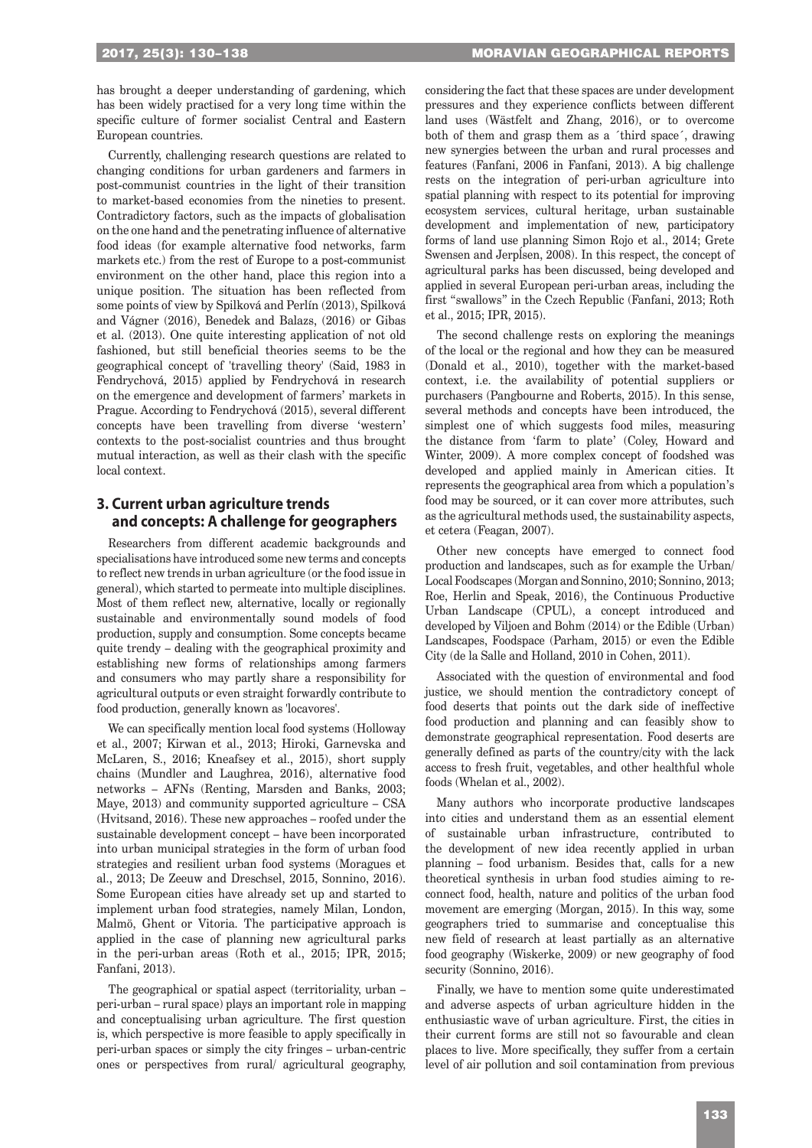has brought a deeper understanding of gardening, which has been widely practised for a very long time within the specific culture of former socialist Central and Eastern European countries.

Currently, challenging research questions are related to changing conditions for urban gardeners and farmers in post-communist countries in the light of their transition to market-based economies from the nineties to present. Contradictory factors, such as the impacts of globalisation on the one hand and the penetrating influence of alternative food ideas (for example alternative food networks, farm markets etc.) from the rest of Europe to a post-communist environment on the other hand, place this region into a unique position. The situation has been reflected from some points of view by Spilková and Perlín (2013), Spilková and Vágner (2016), Benedek and Balazs, (2016) or Gibas et al. (2013). One quite interesting application of not old fashioned, but still beneficial theories seems to be the geographical concept of 'travelling theory' (Said, 1983 in Fendrychová, 2015) applied by Fendrychová in research on the emergence and development of farmers' markets in Prague. According to Fendrychová (2015), several different concepts have been travelling from diverse 'western' contexts to the post-socialist countries and thus brought mutual interaction, as well as their clash with the specific local context.

### **3. Current urban agriculture trends and concepts: A challenge for geographers**

Researchers from different academic backgrounds and specialisations have introduced some new terms and concepts to reflect new trends in urban agriculture (or the food issue in general), which started to permeate into multiple disciplines. Most of them reflect new, alternative, locally or regionally sustainable and environmentally sound models of food production, supply and consumption. Some concepts became quite trendy – dealing with the geographical proximity and establishing new forms of relationships among farmers and consumers who may partly share a responsibility for agricultural outputs or even straight forwardly contribute to food production, generally known as 'locavores'.

We can specifically mention local food systems (Holloway et al., 2007; Kirwan et al., 2013; Hiroki, Garnevska and McLaren, S., 2016; Kneafsey et al., 2015), short supply chains (Mundler and Laughrea, 2016), alternative food networks – AFNs (Renting, Marsden and Banks, 2003; Maye, 2013) and community supported agriculture – CSA (Hvitsand, 2016). These new approaches – roofed under the sustainable development concept – have been incorporated into urban municipal strategies in the form of urban food strategies and resilient urban food systems (Moragues et al., 2013; De Zeeuw and Dreschsel, 2015, Sonnino, 2016). Some European cities have already set up and started to implement urban food strategies, namely Milan, London, Malmö, Ghent or Vitoria. The participative approach is applied in the case of planning new agricultural parks in the peri-urban areas (Roth et al., 2015; IPR, 2015; Fanfani, 2013).

The geographical or spatial aspect (territoriality, urban – peri-urban – rural space) plays an important role in mapping and conceptualising urban agriculture. The first question is, which perspective is more feasible to apply specifically in peri-urban spaces or simply the city fringes – urban-centric ones or perspectives from rural/ agricultural geography,

considering the fact that these spaces are under development pressures and they experience conflicts between different land uses (Wästfelt and Zhang, 2016), or to overcome both of them and grasp them as a ´third space´, drawing new synergies between the urban and rural processes and features (Fanfani, 2006 in Fanfani, 2013). A big challenge rests on the integration of peri-urban agriculture into spatial planning with respect to its potential for improving ecosystem services, cultural heritage, urban sustainable development and implementation of new, participatory forms of land use planning Simon Rojo et al., 2014; Grete Swensen and Jerplsen, 2008). In this respect, the concept of agricultural parks has been discussed, being developed and applied in several European peri-urban areas, including the first "swallows" in the Czech Republic (Fanfani, 2013; Roth et al., 2015; IPR, 2015).

The second challenge rests on exploring the meanings of the local or the regional and how they can be measured (Donald et al., 2010), together with the market-based context, i.e. the availability of potential suppliers or purchasers (Pangbourne and Roberts, 2015). In this sense, several methods and concepts have been introduced, the simplest one of which suggests food miles, measuring the distance from 'farm to plate' (Coley, Howard and Winter, 2009). A more complex concept of foodshed was developed and applied mainly in American cities. It represents the geographical area from which a population's food may be sourced, or it can cover more attributes, such as the agricultural methods used, the sustainability aspects, et cetera (Feagan, 2007).

Other new concepts have emerged to connect food production and landscapes, such as for example the Urban/ Local Foodscapes (Morgan and Sonnino, 2010; Sonnino, 2013; Roe, Herlin and Speak, 2016), the Continuous Productive Urban Landscape (CPUL), a concept introduced and developed by Viljoen and Bohm (2014) or the Edible (Urban) Landscapes, Foodspace (Parham, 2015) or even the Edible City (de la Salle and Holland, 2010 in Cohen, 2011).

Associated with the question of environmental and food justice, we should mention the contradictory concept of food deserts that points out the dark side of ineffective food production and planning and can feasibly show to demonstrate geographical representation. Food deserts are generally defined as parts of the country/city with the lack access to fresh fruit, vegetables, and other healthful whole foods (Whelan et al., 2002).

Many authors who incorporate productive landscapes into cities and understand them as an essential element of sustainable urban infrastructure, contributed to the development of new idea recently applied in urban planning – food urbanism. Besides that, calls for a new theoretical synthesis in urban food studies aiming to reconnect food, health, nature and politics of the urban food movement are emerging (Morgan, 2015). In this way, some geographers tried to summarise and conceptualise this new field of research at least partially as an alternative food geography (Wiskerke, 2009) or new geography of food security (Sonnino, 2016).

Finally, we have to mention some quite underestimated and adverse aspects of urban agriculture hidden in the enthusiastic wave of urban agriculture. First, the cities in their current forms are still not so favourable and clean places to live. More specifically, they suffer from a certain level of air pollution and soil contamination from previous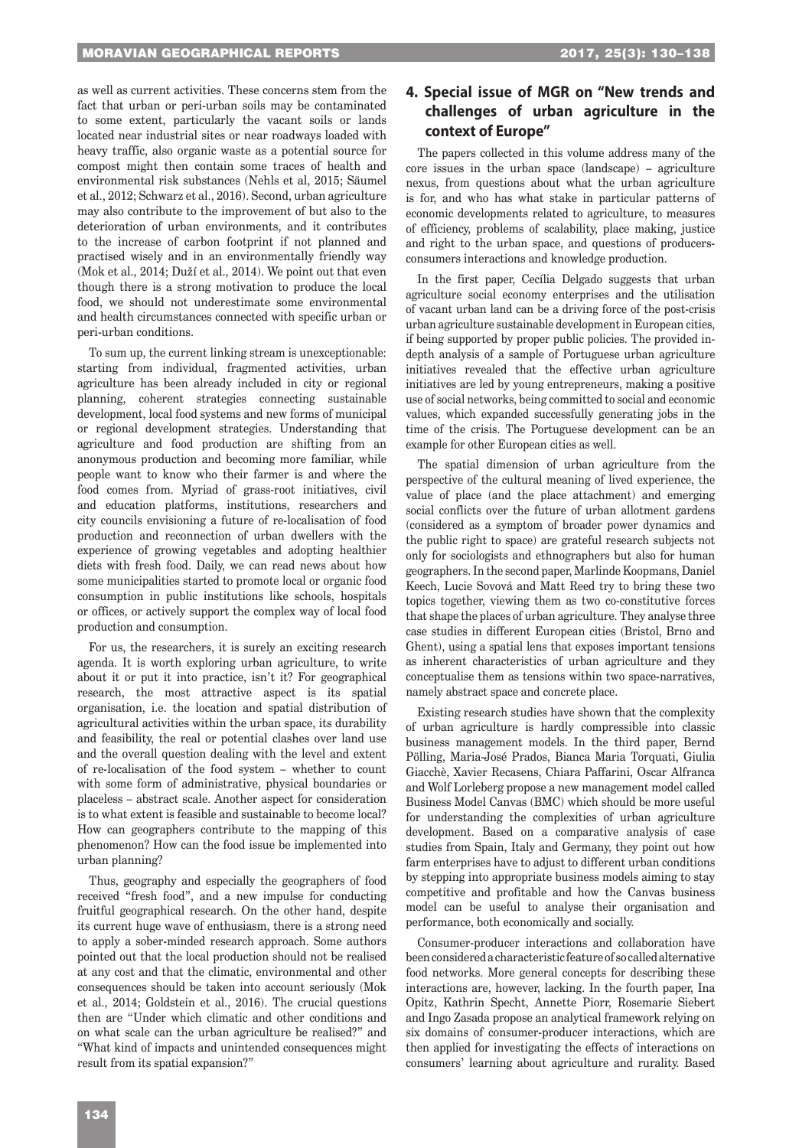as well as current activities. These concerns stem from the fact that urban or peri-urban soils may be contaminated to some extent, particularly the vacant soils or lands located near industrial sites or near roadways loaded with heavy traffic, also organic waste as a potential source for compost might then contain some traces of health and environmental risk substances (Nehls et al, 2015; Säumel et al., 2012; Schwarz et al., 2016). Second, urban agriculture may also contribute to the improvement of but also to the deterioration of urban environments, and it contributes to the increase of carbon footprint if not planned and practised wisely and in an environmentally friendly way (Mok et al., 2014; Duží et al., 2014). We point out that even though there is a strong motivation to produce the local food, we should not underestimate some environmental and health circumstances connected with specific urban or peri-urban conditions.

To sum up, the current linking stream is unexceptionable: starting from individual, fragmented activities, urban agriculture has been already included in city or regional planning, coherent strategies connecting sustainable development, local food systems and new forms of municipal or regional development strategies. Understanding that agriculture and food production are shifting from an anonymous production and becoming more familiar, while people want to know who their farmer is and where the food comes from. Myriad of grass-root initiatives, civil and education platforms, institutions, researchers and city councils envisioning a future of re-localisation of food production and reconnection of urban dwellers with the experience of growing vegetables and adopting healthier diets with fresh food. Daily, we can read news about how some municipalities started to promote local or organic food consumption in public institutions like schools, hospitals or offices, or actively support the complex way of local food production and consumption.

For us, the researchers, it is surely an exciting research agenda. It is worth exploring urban agriculture, to write about it or put it into practice, isn't it? For geographical research, the most attractive aspect is its spatial organisation, i.e. the location and spatial distribution of agricultural activities within the urban space, its durability and feasibility, the real or potential clashes over land use and the overall question dealing with the level and extent of re-localisation of the food system – whether to count with some form of administrative, physical boundaries or placeless – abstract scale. Another aspect for consideration is to what extent is feasible and sustainable to become local? How can geographers contribute to the mapping of this phenomenon? How can the food issue be implemented into urban planning?

Thus, geography and especially the geographers of food received "fresh food", and a new impulse for conducting fruitful geographical research. On the other hand, despite its current huge wave of enthusiasm, there is a strong need to apply a sober-minded research approach. Some authors pointed out that the local production should not be realised at any cost and that the climatic, environmental and other consequences should be taken into account seriously (Mok et al., 2014; Goldstein et al., 2016). The crucial questions then are "Under which climatic and other conditions and on what scale can the urban agriculture be realised?" and "What kind of impacts and unintended consequences might result from its spatial expansion?"

### **4. Special issue of MGR on "New trends and challenges of urban agriculture in the context of Europe"**

The papers collected in this volume address many of the core issues in the urban space (landscape) – agriculture nexus, from questions about what the urban agriculture is for, and who has what stake in particular patterns of economic developments related to agriculture, to measures of efficiency, problems of scalability, place making, justice and right to the urban space, and questions of producersconsumers interactions and knowledge production.

In the first paper, Cecília Delgado suggests that urban agriculture social economy enterprises and the utilisation of vacant urban land can be a driving force of the post-crisis urban agriculture sustainable development in European cities, if being supported by proper public policies. The provided indepth analysis of a sample of Portuguese urban agriculture initiatives revealed that the effective urban agriculture initiatives are led by young entrepreneurs, making a positive use of social networks, being committed to social and economic values, which expanded successfully generating jobs in the time of the crisis. The Portuguese development can be an example for other European cities as well.

The spatial dimension of urban agriculture from the perspective of the cultural meaning of lived experience, the value of place (and the place attachment) and emerging social conflicts over the future of urban allotment gardens (considered as a symptom of broader power dynamics and the public right to space) are grateful research subjects not only for sociologists and ethnographers but also for human geographers. In the second paper, Marlinde Koopmans, Daniel Keech, Lucie Sovová and Matt Reed try to bring these two topics together, viewing them as two co-constitutive forces that shape the places of urban agriculture. They analyse three case studies in different European cities (Bristol, Brno and Ghent), using a spatial lens that exposes important tensions as inherent characteristics of urban agriculture and they conceptualise them as tensions within two space-narratives, namely abstract space and concrete place.

Existing research studies have shown that the complexity of urban agriculture is hardly compressible into classic business management models. In the third paper, Bernd Pölling, Maria-José Prados, Bianca Maria Torquati, Giulia Giacch�, Xavier Recasens, Chiara Paffarini, Oscar Alfranca and Wolf Lorleberg propose a new management model called Business Model Canvas (BMC) which should be more useful for understanding the complexities of urban agriculture development. Based on a comparative analysis of case studies from Spain, Italy and Germany, they point out how farm enterprises have to adjust to different urban conditions by stepping into appropriate business models aiming to stay competitive and profitable and how the Canvas business model can be useful to analyse their organisation and performance, both economically and socially.

Consumer-producer interactions and collaboration have been considered a characteristic feature of so called alternative food networks. More general concepts for describing these interactions are, however, lacking. In the fourth paper, Ina Opitz, Kathrin Specht, Annette Piorr, Rosemarie Siebert and Ingo Zasada propose an analytical framework relying on six domains of consumer-producer interactions, which are then applied for investigating the effects of interactions on consumers' learning about agriculture and rurality. Based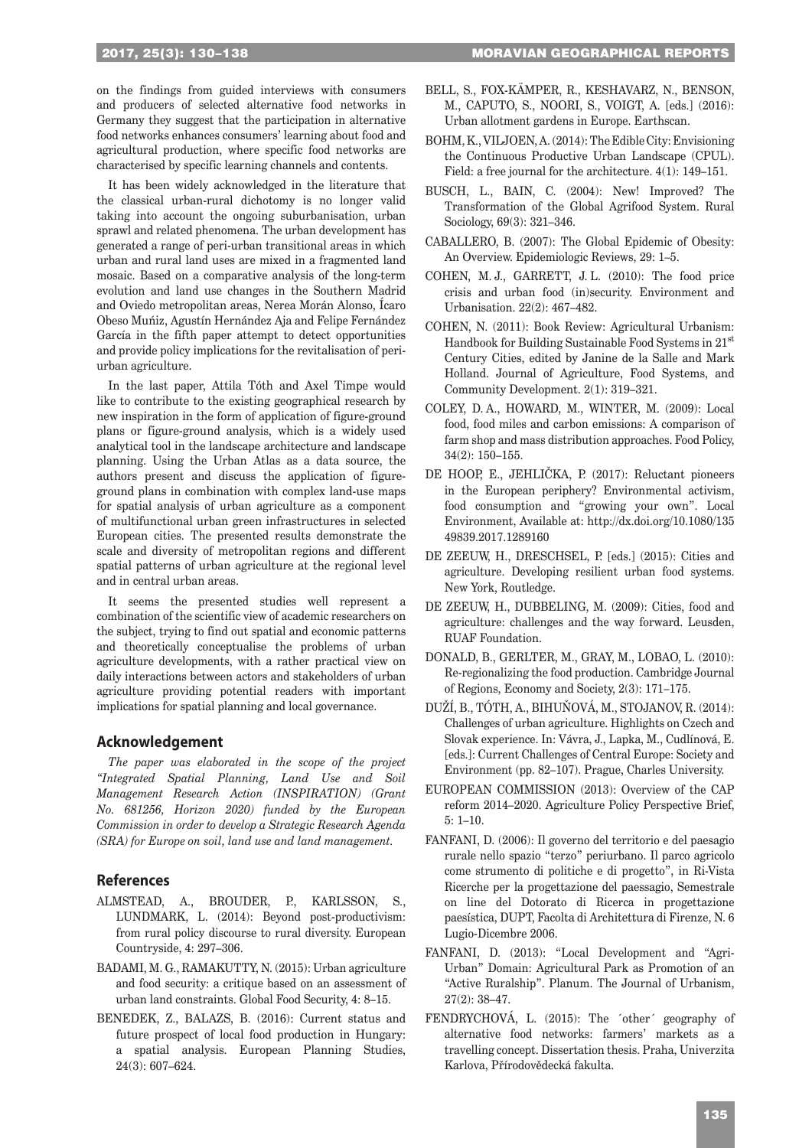on the findings from guided interviews with consumers and producers of selected alternative food networks in Germany they suggest that the participation in alternative food networks enhances consumers' learning about food and agricultural production, where specific food networks are characterised by specific learning channels and contents.

It has been widely acknowledged in the literature that the classical urban-rural dichotomy is no longer valid taking into account the ongoing suburbanisation, urban sprawl and related phenomena. The urban development has generated a range of peri-urban transitional areas in which urban and rural land uses are mixed in a fragmented land mosaic. Based on a comparative analysis of the long-term evolution and land use changes in the Southern Madrid and Oviedo metropolitan areas, Nerea Morán Alonso, Ícaro Obeso Muñiz, Agustín Hernández Aja and Felipe Fernández García in the fifth paper attempt to detect opportunities and provide policy implications for the revitalisation of periurban agriculture.

In the last paper, Attila Tóth and Axel Timpe would like to contribute to the existing geographical research by new inspiration in the form of application of figure-ground plans or figure-ground analysis, which is a widely used analytical tool in the landscape architecture and landscape planning. Using the Urban Atlas as a data source, the authors present and discuss the application of figureground plans in combination with complex land-use maps for spatial analysis of urban agriculture as a component of multifunctional urban green infrastructures in selected European cities. The presented results demonstrate the scale and diversity of metropolitan regions and different spatial patterns of urban agriculture at the regional level and in central urban areas.

It seems the presented studies well represent a combination of the scientific view of academic researchers on the subject, trying to find out spatial and economic patterns and theoretically conceptualise the problems of urban agriculture developments, with a rather practical view on daily interactions between actors and stakeholders of urban agriculture providing potential readers with important implications for spatial planning and local governance.

#### **Acknowledgement**

*The paper was elaborated in the scope of the project "Integrated Spatial Planning, Land Use and Soil Management Research Action (INSPIRATION) (Grant No. 681256, Horizon 2020) funded by the European Commission in order to develop a Strategic Research Agenda (SRA) for Europe on soil, land use and land management.*

### **References**

- ALMSTEAD, A., BROUDER, P., KARLSSON, S., LUNDMARK, L. (2014): Beyond post-productivism: from rural policy discourse to rural diversity. European Countryside, 4: 297–306.
- BADAMI, M. G., RAMAKUTTY, N. (2015): Urban agriculture and food security: a critique based on an assessment of urban land constraints. Global Food Security, 4: 8–15.
- BENEDEK, Z., BALAZS, B. (2016): Current status and future prospect of local food production in Hungary: a spatial analysis. European Planning Studies, 24(3): 607–624.
- BELL, S., FOX-KÄMPER, R., KESHAVARZ, N., BENSON, M., CAPUTO, S., NOORI, S., VOIGT, A. [eds.] (2016): Urban allotment gardens in Europe. Earthscan.
- BOHM, K., VILJOEN, A.(2014): The Edible City: Envisioning the Continuous Productive Urban Landscape (CPUL). Field: a free journal for the architecture. 4(1): 149–151.
- BUSCH, L., BAIN, C. (2004): New! Improved? The Transformation of the Global Agrifood System. Rural Sociology, 69(3): 321–346.
- CABALLERO, B. (2007): The Global Epidemic of Obesity: An Overview. Epidemiologic Reviews, 29: 1–5.
- COHEN, M. J., GARRETT, J. L. (2010): The food price crisis and urban food (in)security. Environment and Urbanisation. 22(2): 467–482.
- COHEN, N. (2011): Book Review: Agricultural Urbanism: Handbook for Building Sustainable Food Systems in 21st Century Cities, edited by Janine de la Salle and Mark Holland. Journal of Agriculture, Food Systems, and Community Development. 2(1): 319–321.
- COLEY, D. A., HOWARD, M., WINTER, M. (2009): Local food, food miles and carbon emissions: A comparison of farm shop and mass distribution approaches. Food Policy, 34(2): 150–155.
- DE HOOP, E., JEHLIČKA, P. (2017): Reluctant pioneers in the European periphery? Environmental activism, food consumption and "growing your own". Local Environment, Available at: http://dx.doi.org/10.1080/135 49839.2017.1289160
- DE ZEEUW, H., DRESCHSEL, P. [eds.] (2015): Cities and agriculture. Developing resilient urban food systems. New York, Routledge.
- DE ZEEUW, H., DUBBELING, M. (2009): Cities, food and agriculture: challenges and the way forward. Leusden, RUAF Foundation.
- DONALD, B., GERLTER, M., GRAY, M., LOBAO, L. (2010): Re-regionalizing the food production. Cambridge Journal of Regions, Economy and Society, 2(3): 171–175.
- DUŽÍ, B., TÓTH, A., BIHUŇOVÁ, M., STOJANOV, R. (2014): Challenges of urban agriculture. Highlights on Czech and Slovak experience. In: Vávra, J., Lapka, M., Cudlínová, E. [eds.]: Current Challenges of Central Europe: Society and Environment (pp. 82–107). Prague, Charles University.
- EUROPEAN COMMISSION (2013): Overview of the CAP reform 2014–2020. Agriculture Policy Perspective Brief, 5: 1–10.
- FANFANI, D. (2006): Il governo del territorio e del paesagio rurale nello spazio "terzo" periurbano. Il parco agricolo come strumento di politiche e di progetto", in Ri-Vista Ricerche per la progettazione del paessagio, Semestrale on line del Dotorato di Ricerca in progettazione paesística, DUPT, Facolta di Architettura di Firenze, N. 6 Lugio-Dicembre 2006.
- FANFANI, D. (2013): "Local Development and "Agri-Urban" Domain: Agricultural Park as Promotion of an "Active Ruralship". Planum. The Journal of Urbanism,  $27(2): 38-47.$
- FENDRYCHOVÁ, L. (2015): The ´other´ geography of alternative food networks: farmers' markets as a travelling concept. Dissertation thesis. Praha, Univerzita Karlova, Přírodovědecká fakulta.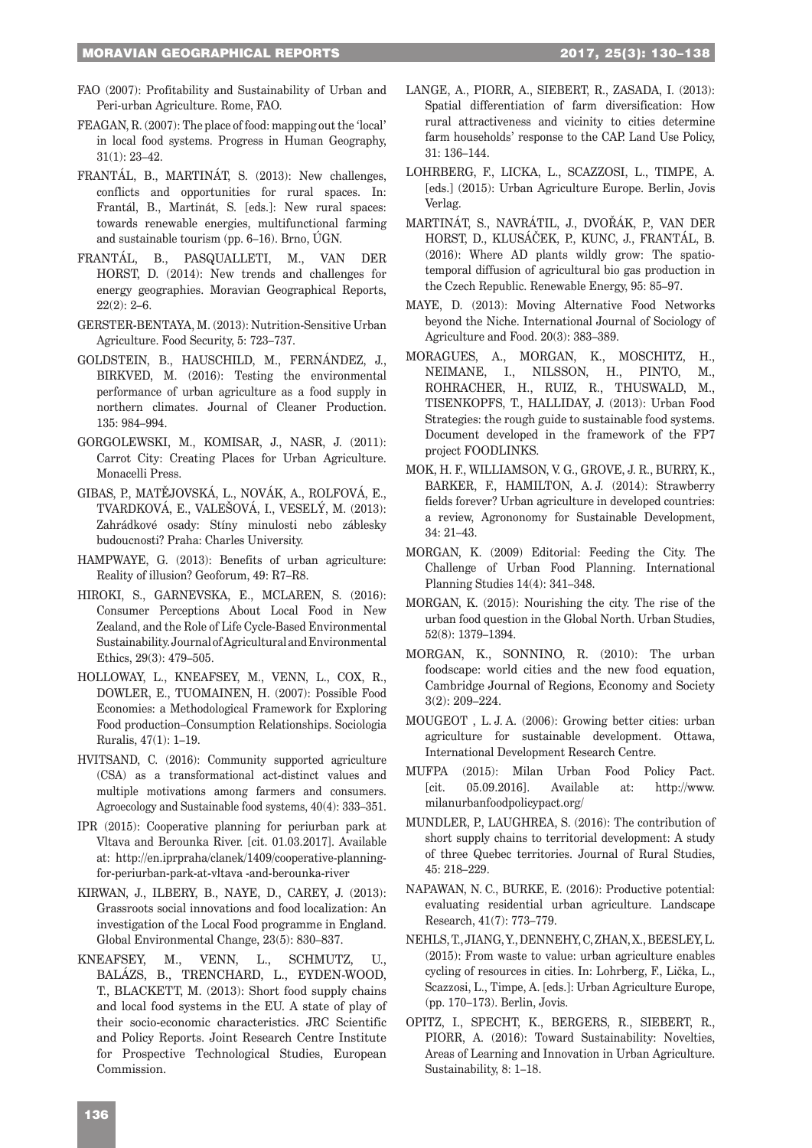- FAO (2007): Profitability and Sustainability of Urban and Peri-urban Agriculture. Rome, FAO.
- FEAGAN, R. (2007): The place of food: mapping out the 'local' in local food systems. Progress in Human Geography, 31(1): 23–42.
- FRANTÁL, B., MARTINÁT, S. (2013): New challenges, conflicts and opportunities for rural spaces. In: Frantál, B., Martinát, S. [eds.]: New rural spaces: towards renewable energies, multifunctional farming and sustainable tourism (pp. 6–16). Brno, ÚGN.
- FRANTÁL, B., PASQUALLETI, M., VAN DER HORST, D. (2014): New trends and challenges for energy geographies. Moravian Geographical Reports, 22(2): 2–6.
- GERSTER-BENTAYA, M. (2013): Nutrition-Sensitive Urban Agriculture. Food Security, 5: 723–737.
- GOLDSTEIN, B., HAUSCHILD, M., FERNÁNDEZ, J., BIRKVED, M. (2016): Testing the environmental performance of urban agriculture as a food supply in northern climates. Journal of Cleaner Production. 135: 984–994.
- GORGOLEWSKI, M., KOMISAR, J., NASR, J. (2011): Carrot City: Creating Places for Urban Agriculture. Monacelli Press.
- GIBAS, P., MATĚJOVSKÁ, L., NOVÁK, A., ROLFOVÁ, E., TVARDKOVÁ, E., VALEŠOVÁ, I., VESELÝ, M. (2013): Zahrádkové osady: Stíny minulosti nebo záblesky budoucnosti? Praha: Charles University.
- HAMPWAYE, G. (2013): Benefits of urban agriculture: Reality of illusion? Geoforum, 49: R7–R8.
- HIROKI, S., GARNEVSKA, E., MCLAREN, S. (2016): Consumer Perceptions About Local Food in New Zealand, and the Role of Life Cycle-Based Environmental Sustainability. Journal of Agricultural and Environmental Ethics, 29(3): 479–505.
- HOLLOWAY, L., KNEAFSEY, M., VENN, L., COX, R., DOWLER, E., TUOMAINEN, H. (2007): Possible Food Economies: a Methodological Framework for Exploring Food production–Consumption Relationships. Sociologia Ruralis, 47(1): 1–19.
- HVITSAND, C. (2016): Community supported agriculture (CSA) as a transformational act-distinct values and multiple motivations among farmers and consumers. Agroecology and Sustainable food systems, 40(4): 333–351.
- IPR (2015): Cooperative planning for periurban park at Vltava and Berounka River. [cit. 01.03.2017]. Available at: http://en.iprpraha/clanek/1409/cooperative-planningfor-periurban-park-at-vltava -and-berounka-river
- KIRWAN, J., ILBERY, B., NAYE, D., CAREY, J. (2013): Grassroots social innovations and food localization: An investigation of the Local Food programme in England. Global Environmental Change, 23(5): 830–837.
- KNEAFSEY, M., VENN, L., SCHMUTZ, U., BALÁZS, B., TRENCHARD, L., EYDEN-WOOD, T., BLACKETT, M. (2013): Short food supply chains and local food systems in the EU. A state of play of their socio-economic characteristics. JRC Scientific and Policy Reports. Joint Research Centre Institute for Prospective Technological Studies, European Commission.
- LANGE, A., PIORR, A., SIEBERT, R., ZASADA, I. (2013): Spatial differentiation of farm diversification: How rural attractiveness and vicinity to cities determine farm households' response to the CAP. Land Use Policy, 31: 136–144.
- LOHRBERG, F., LICKA, L., SCAZZOSI, L., TIMPE, A. [eds.] (2015): Urban Agriculture Europe. Berlin, Jovis Verlag.
- MARTINÁT, S., NAVRÁTIL, J., DVOŘÁK, P., VAN DER HORST, D., KLUSÁČEK, P., KUNC, J., FRANTÁL, B. (2016): Where AD plants wildly grow: The spatiotemporal diffusion of agricultural bio gas production in the Czech Republic. Renewable Energy, 95: 85–97.
- MAYE, D. (2013): Moving Alternative Food Networks beyond the Niche. International Journal of Sociology of Agriculture and Food. 20(3): 383–389.
- MORAGUES, A., MORGAN, K., MOSCHITZ, H., NEIMANE, I., NILSSON, H., PINTO, M., ROHRACHER, H., RUIZ, R., THUSWALD, M., TISENKOPFS, T., HALLIDAY, J. (2013): Urban Food Strategies: the rough guide to sustainable food systems. Document developed in the framework of the FP7 project FOODLINKS.
- MOK, H. F., WILLIAMSON, V. G., GROVE, J. R., BURRY, K., BARKER, F., HAMILTON, A. J. (2014): Strawberry fields forever? Urban agriculture in developed countries: a review, Agrononomy for Sustainable Development, 34: 21–43.
- MORGAN, K. (2009) Editorial: Feeding the City. The Challenge of Urban Food Planning. International Planning Studies 14(4): 341–348.
- MORGAN, K. (2015): Nourishing the city. The rise of the urban food question in the Global North. Urban Studies, 52(8): 1379–1394.
- MORGAN, K., SONNINO, R. (2010): The urban foodscape: world cities and the new food equation, Cambridge Journal of Regions, Economy and Society 3(2): 209–224.
- MOUGEOT , L. J. A. (2006): Growing better cities: urban agriculture for sustainable development. Ottawa, International Development Research Centre.
- MUFPA (2015): Milan Urban Food Policy Pact. [cit.  $05.09.2016$ ]. Available at: http://www. milanurbanfoodpolicypact.org/
- MUNDLER, P., LAUGHREA, S. (2016): The contribution of short supply chains to territorial development: A study of three Quebec territories. Journal of Rural Studies, 45: 218–229.
- NAPAWAN, N. C., BURKE, E. (2016): Productive potential: evaluating residential urban agriculture. Landscape Research, 41(7): 773–779.
- NEHLS, T., JIANG, Y., DENNEHY, C, ZHAN, X., BEESLEY,L. (2015): From waste to value: urban agriculture enables cycling of resources in cities. In: Lohrberg, F., Lička, L., Scazzosi, L., Timpe, A. [eds.]: Urban Agriculture Europe, (pp. 170–173). Berlin, Jovis.
- OPITZ, I., SPECHT, K., BERGERS, R., SIEBERT, R., PIORR, A. (2016): Toward Sustainability: Novelties, Areas of Learning and Innovation in Urban Agriculture. Sustainability, 8: 1–18.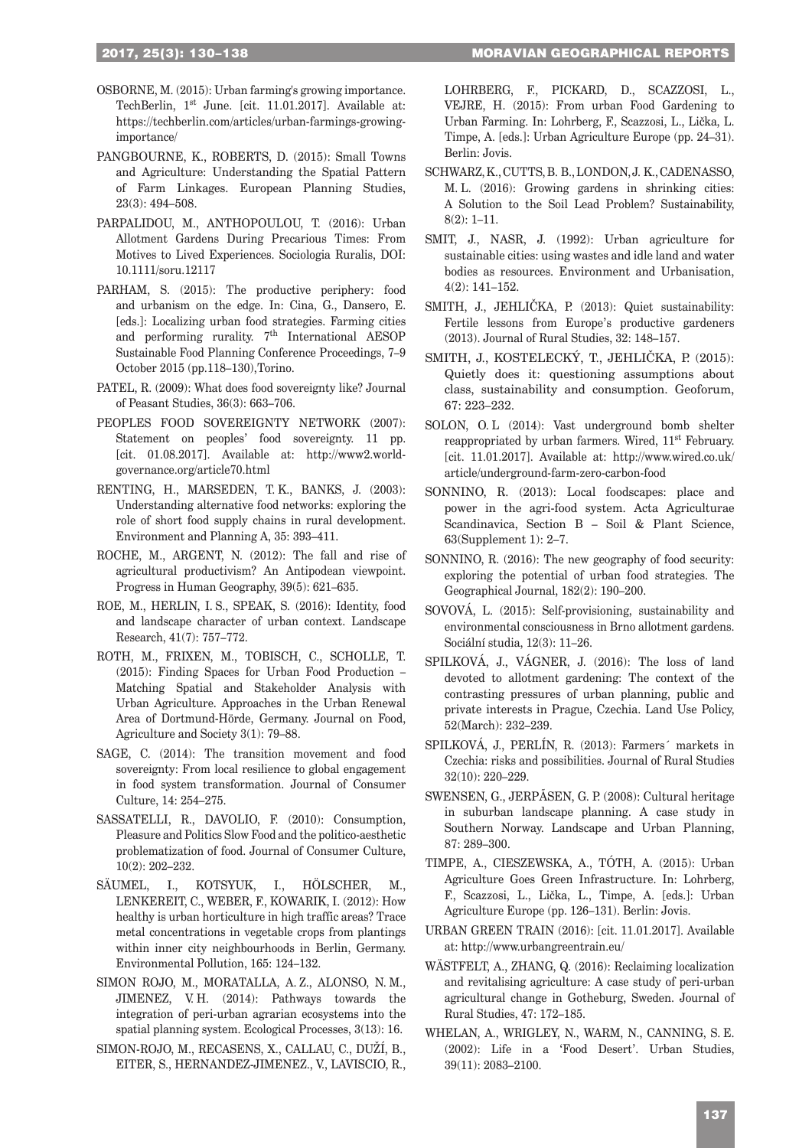- OSBORNE, M. (2015): Urban farming's growing importance. TechBerlin, 1<sup>st</sup> June. [cit. 11.01.2017]. Available at: https://techberlin.com/articles/urban-farmings-growingimportance/
- PANGBOURNE, K., ROBERTS, D. (2015): Small Towns and Agriculture: Understanding the Spatial Pattern of Farm Linkages. European Planning Studies, 23(3): 494–508.
- PARPALIDOU, M., ANTHOPOULOU, T. (2016): Urban Allotment Gardens During Precarious Times: From Motives to Lived Experiences. Sociologia Ruralis, DOI: 10.1111/soru.12117
- PARHAM, S. (2015): The productive periphery: food and urbanism on the edge. In: Cina, G., Dansero, E. [eds.]: Localizing urban food strategies. Farming cities and performing rurality. 7<sup>th</sup> International AESOP Sustainable Food Planning Conference Proceedings, 7–9 October 2015 (pp.118–130),Torino.
- PATEL, R. (2009): What does food sovereignty like? Journal of Peasant Studies, 36(3): 663–706.
- PEOPLES FOOD SOVEREIGNTY NETWORK (2007): Statement on peoples' food sovereignty. 11 pp. [cit. 01.08.2017]. Available at: http://www2.worldgovernance.org/article70.html
- RENTING, H., MARSEDEN, T. K., BANKS, J. (2003): Understanding alternative food networks: exploring the role of short food supply chains in rural development. Environment and Planning A, 35: 393–411.
- ROCHE, M., ARGENT, N. (2012): The fall and rise of agricultural productivism? An Antipodean viewpoint. Progress in Human Geography, 39(5): 621–635.
- ROE, M., HERLIN, I. S., SPEAK, S. (2016): Identity, food and landscape character of urban context. Landscape Research, 41(7): 757–772.
- ROTH, M., FRIXEN, M., TOBISCH, C., SCHOLLE, T. (2015): Finding Spaces for Urban Food Production – Matching Spatial and Stakeholder Analysis with Urban Agriculture. Approaches in the Urban Renewal Area of Dortmund-Hörde, Germany. Journal on Food, Agriculture and Society 3(1): 79–88.
- SAGE, C. (2014): The transition movement and food sovereignty: From local resilience to global engagement in food system transformation. Journal of Consumer Culture, 14: 254–275.
- SASSATELLI, R., DAVOLIO, F. (2010): Consumption, Pleasure and Politics Slow Food and the politico-aesthetic problematization of food. Journal of Consumer Culture, 10(2): 202–232.
- SÄUMEL, I., KOTSYUK, I., HÖLSCHER, M., LENKEREIT, C., WEBER, F., KOWARIK, I. (2012): How healthy is urban horticulture in high traffic areas? Trace metal concentrations in vegetable crops from plantings within inner city neighbourhoods in Berlin, Germany. Environmental Pollution, 165: 124–132.
- SIMON ROJO, M., MORATALLA, A. Z., ALONSO, N. M., JIMENEZ, V. H. (2014): Pathways towards the integration of peri-urban agrarian ecosystems into the spatial planning system. Ecological Processes, 3(13): 16.
- SIMON-ROJO, M., RECASENS, X., CALLAU, C., DUŽÍ, B., EITER, S., HERNANDEZ-JIMENEZ., V., LAVISCIO, R.,

LOHRBERG, F., PICKARD, D., SCAZZOSI, L., VEJRE, H. (2015): From urban Food Gardening to Urban Farming. In: Lohrberg, F., Scazzosi, L., Lička, L. Timpe, A. [eds.]: Urban Agriculture Europe (pp. 24–31). Berlin: Jovis.

- SCHWARZ, K., CUTTS, B. B., LONDON, J. K., CADENASSO, M. L. (2016): Growing gardens in shrinking cities: A Solution to the Soil Lead Problem? Sustainability,  $8(2) \cdot 1 - 11$ .
- SMIT, J., NASR, J. (1992): Urban agriculture for sustainable cities: using wastes and idle land and water bodies as resources. Environment and Urbanisation, 4(2): 141–152.
- SMITH, J., JEHLIČKA, P. (2013): Quiet sustainability: Fertile lessons from Europe's productive gardeners (2013). Journal of Rural Studies, 32: 148–157.
- SMITH, J., KOSTELECKÝ, T., JEHLIČKA, P. (2015): Quietly does it: questioning assumptions about class, sustainability and consumption. Geoforum, 67: 223–232.
- SOLON, O. L (2014): Vast underground bomb shelter reappropriated by urban farmers. Wired,  $11<sup>st</sup>$  February. [cit. 11.01.2017]. Available at: http://www.wired.co.uk/ article/underground-farm-zero-carbon-food
- SONNINO, R. (2013): Local foodscapes: place and power in the agri-food system. Acta Agriculturae Scandinavica, Section B – Soil & Plant Science, 63(Supplement 1): 2–7.
- SONNINO, R. (2016): The new geography of food security: exploring the potential of urban food strategies. The Geographical Journal, 182(2): 190–200.
- SOVOVÁ, L. (2015): Self-provisioning, sustainability and environmental consciousness in Brno allotment gardens. Sociální studia, 12(3): 11–26.
- SPILKOVÁ, J., VÁGNER, J. (2016): The loss of land devoted to allotment gardening: The context of the contrasting pressures of urban planning, public and private interests in Prague, Czechia. Land Use Policy, 52(March): 232–239.
- SPILKOVÁ, J., PERLÍN, R. (2013): Farmers´ markets in Czechia: risks and possibilities. Journal of Rural Studies 32(10): 220–229.
- SWENSEN, G., JERPÃSEN, G. P. (2008): Cultural heritage in suburban landscape planning. A case study in Southern Norway. Landscape and Urban Planning, 87: 289–300.
- TIMPE, A., CIESZEWSKA, A., TÓTH, A. (2015): Urban Agriculture Goes Green Infrastructure. In: Lohrberg, F., Scazzosi, L., Lička, L., Timpe, A. [eds.]: Urban Agriculture Europe (pp. 126–131). Berlin: Jovis.
- URBAN GREEN TRAIN (2016): [cit. 11.01.2017]. Available at: http://www.urbangreentrain.eu/
- WÄSTFELT, A., ZHANG, Q. (2016): Reclaiming localization and revitalising agriculture: A case study of peri-urban agricultural change in Gotheburg, Sweden. Journal of Rural Studies, 47: 172–185.
- WHELAN, A., WRIGLEY, N., WARM, N., CANNING, S. E. (2002): Life in a 'Food Desert'. Urban Studies, 39(11): 2083–2100.